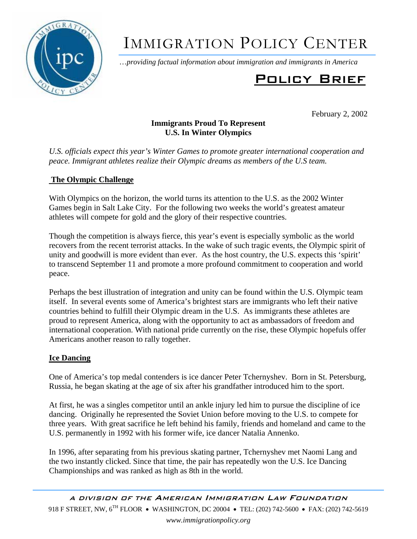

# IMMIGRATION POLICY CENTER

…*providing factual information about immigration and immigrants in America*

# Policy Brief

February 2, 2002

## **Immigrants Proud To Represent U.S. In Winter Olympics**

*U.S. officials expect this year's Winter Games to promote greater international cooperation and peace. Immigrant athletes realize their Olympic dreams as members of the U.S team.* 

# **The Olympic Challenge**

With Olympics on the horizon, the world turns its attention to the U.S. as the 2002 Winter Games begin in Salt Lake City. For the following two weeks the world's greatest amateur athletes will compete for gold and the glory of their respective countries.

Though the competition is always fierce, this year's event is especially symbolic as the world recovers from the recent terrorist attacks. In the wake of such tragic events, the Olympic spirit of unity and goodwill is more evident than ever. As the host country, the U.S. expects this 'spirit' to transcend September 11 and promote a more profound commitment to cooperation and world peace.

Perhaps the best illustration of integration and unity can be found within the U.S. Olympic team itself. In several events some of America's brightest stars are immigrants who left their native countries behind to fulfill their Olympic dream in the U.S. As immigrants these athletes are proud to represent America, along with the opportunity to act as ambassadors of freedom and international cooperation. With national pride currently on the rise, these Olympic hopefuls offer Americans another reason to rally together.

### **Ice Dancing**

One of America's top medal contenders is ice dancer Peter Tchernyshev. Born in St. Petersburg, Russia, he began skating at the age of six after his grandfather introduced him to the sport.

At first, he was a singles competitor until an ankle injury led him to pursue the discipline of ice dancing. Originally he represented the Soviet Union before moving to the U.S. to compete for three years. With great sacrifice he left behind his family, friends and homeland and came to the U.S. permanently in 1992 with his former wife, ice dancer Natalia Annenko.

In 1996, after separating from his previous skating partner, Tchernyshev met Naomi Lang and the two instantly clicked. Since that time, the pair has repeatedly won the U.S. Ice Dancing Championships and was ranked as high as 8th in the world.